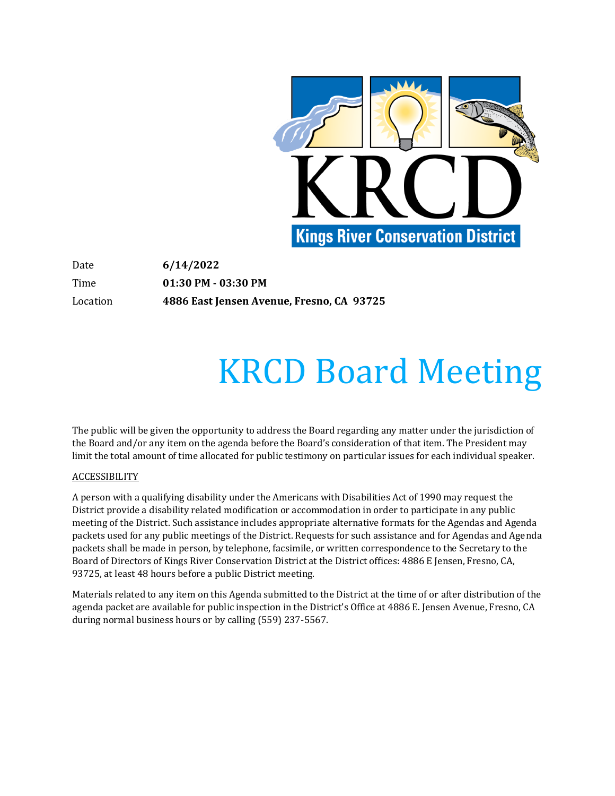

Date **6/14/2022** Time **01:30 PM - 03:30 PM** Location **4886 East Jensen Avenue, Fresno, CA 93725**

# KRCD Board Meeting

The public will be given the opportunity to address the Board regarding any matter under the jurisdiction of the Board and/or any item on the agenda before the Board's consideration of that item. The President may limit the total amount of time allocated for public testimony on particular issues for each individual speaker.

## **ACCESSIBILITY**

A person with a qualifying disability under the Americans with Disabilities Act of 1990 may request the District provide a disability related modification or accommodation in order to participate in any public meeting of the District. Such assistance includes appropriate alternative formats for the Agendas and Agenda packets used for any public meetings of the District. Requests for such assistance and for Agendas and Agenda packets shall be made in person, by telephone, facsimile, or written correspondence to the Secretary to the Board of Directors of Kings River Conservation District at the District offices: 4886 E Jensen, Fresno, CA, 93725, at least 48 hours before a public District meeting.

Materials related to any item on this Agenda submitted to the District at the time of or after distribution of the agenda packet are available for public inspection in the District's Office at 4886 E. Jensen Avenue, Fresno, CA during normal business hours or by calling (559) 237-5567.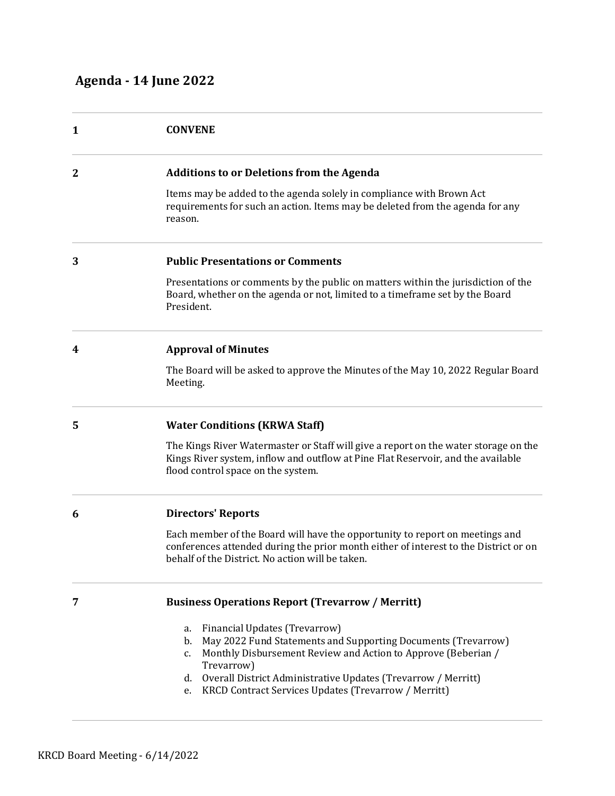| 1           | <b>CONVENE</b>                                                                                                                                                                                                           |
|-------------|--------------------------------------------------------------------------------------------------------------------------------------------------------------------------------------------------------------------------|
| $\mathbf 2$ | <b>Additions to or Deletions from the Agenda</b>                                                                                                                                                                         |
|             | Items may be added to the agenda solely in compliance with Brown Act<br>requirements for such an action. Items may be deleted from the agenda for any<br>reason.                                                         |
| 3           | <b>Public Presentations or Comments</b>                                                                                                                                                                                  |
|             | Presentations or comments by the public on matters within the jurisdiction of the<br>Board, whether on the agenda or not, limited to a timeframe set by the Board<br>President.                                          |
| 4           | <b>Approval of Minutes</b>                                                                                                                                                                                               |
|             | The Board will be asked to approve the Minutes of the May 10, 2022 Regular Board<br>Meeting.                                                                                                                             |
| 5           | <b>Water Conditions (KRWA Staff)</b>                                                                                                                                                                                     |
|             | The Kings River Watermaster or Staff will give a report on the water storage on the<br>Kings River system, inflow and outflow at Pine Flat Reservoir, and the available<br>flood control space on the system.            |
| 6           | <b>Directors' Reports</b>                                                                                                                                                                                                |
|             | Each member of the Board will have the opportunity to report on meetings and<br>conferences attended during the prior month either of interest to the District or on<br>behalf of the District. No action will be taken. |
| 7           | <b>Business Operations Report (Trevarrow / Merritt)</b>                                                                                                                                                                  |
|             | Financial Updates (Trevarrow)<br>a.<br>May 2022 Fund Statements and Supporting Documents (Trevarrow)<br>$b$ .                                                                                                            |

- c. Monthly Disbursement Review and Action to Approve (Beberian / Trevarrow)
- d. Overall District Administrative Updates (Trevarrow / Merritt)
- e. KRCD Contract Services Updates (Trevarrow / Merritt)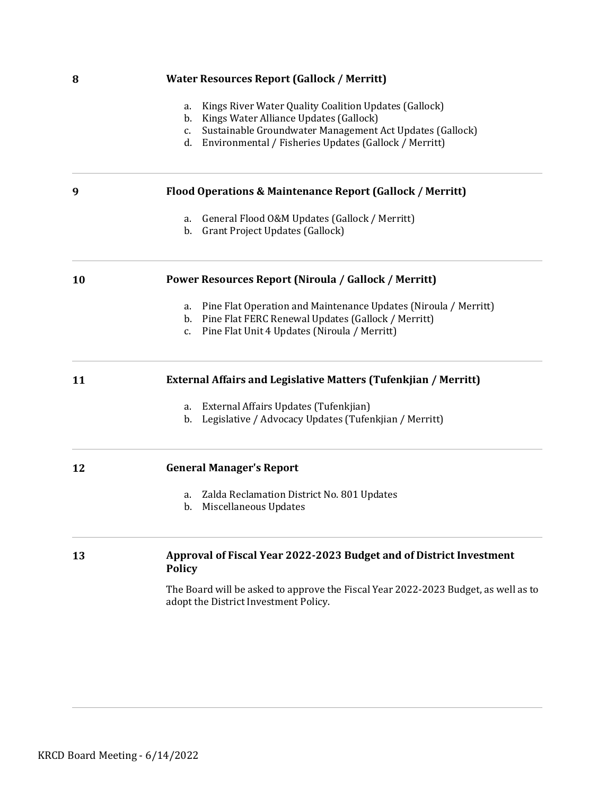| 8  | <b>Water Resources Report (Gallock / Merritt)</b>                                                                           |
|----|-----------------------------------------------------------------------------------------------------------------------------|
|    | Kings River Water Quality Coalition Updates (Gallock)<br>a.                                                                 |
|    | Kings Water Alliance Updates (Gallock)<br>b.                                                                                |
|    | Sustainable Groundwater Management Act Updates (Gallock)<br>c.                                                              |
|    | Environmental / Fisheries Updates (Gallock / Merritt)<br>d.                                                                 |
| 9  | Flood Operations & Maintenance Report (Gallock / Merritt)                                                                   |
|    | General Flood O&M Updates (Gallock / Merritt)<br>a.                                                                         |
|    | b.<br>Grant Project Updates (Gallock)                                                                                       |
| 10 | <b>Power Resources Report (Niroula / Gallock / Merritt)</b>                                                                 |
|    | Pine Flat Operation and Maintenance Updates (Niroula / Merritt)<br>а.                                                       |
|    | Pine Flat FERC Renewal Updates (Gallock / Merritt)<br>b.                                                                    |
|    | Pine Flat Unit 4 Updates (Niroula / Merritt)<br>c.                                                                          |
| 11 | <b>External Affairs and Legislative Matters (Tufenkjian / Merritt)</b>                                                      |
|    | External Affairs Updates (Tufenkjian)<br>а.                                                                                 |
|    | Legislative / Advocacy Updates (Tufenkjian / Merritt)<br>b.                                                                 |
| 12 | <b>General Manager's Report</b>                                                                                             |
|    | Zalda Reclamation District No. 801 Updates<br>а.                                                                            |
|    | Miscellaneous Updates<br>b.                                                                                                 |
| 13 | Approval of Fiscal Year 2022-2023 Budget and of District Investment<br><b>Policy</b>                                        |
|    |                                                                                                                             |
|    | The Board will be asked to approve the Fiscal Year 2022-2023 Budget, as well as to<br>adopt the District Investment Policy. |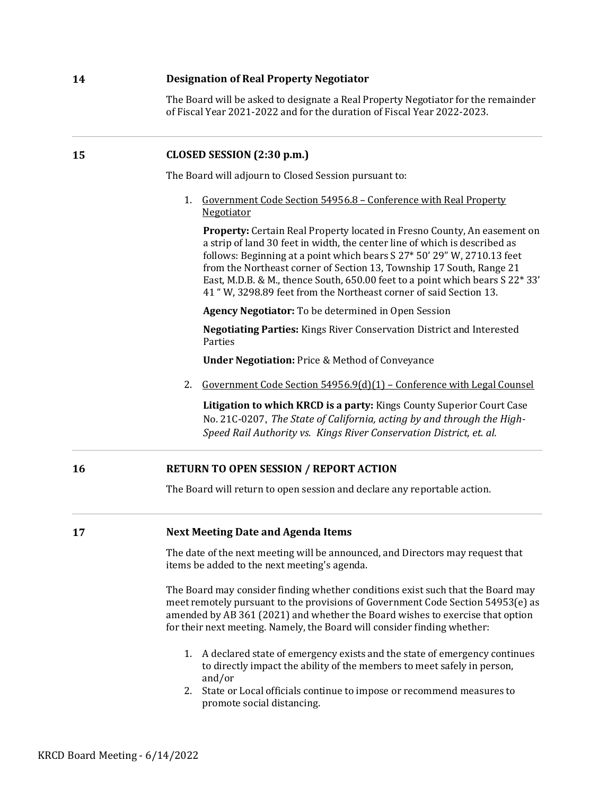## **14 Designation of Real Property Negotiator**

The Board will be asked to designate a Real Property Negotiator for the remainder of Fiscal Year 2021-2022 and for the duration of Fiscal Year 2022-2023.

## **15 CLOSED SESSION (2:30 p.m.)**

The Board will adjourn to Closed Session pursuant to:

1. Government Code Section 54956.8 – Conference with Real Property Negotiator

**Property:** Certain Real Property located in Fresno County, An easement on a strip of land 30 feet in width, the center line of which is described as follows: Beginning at a point which bears S 27\* 50' 29" W, 2710.13 feet from the Northeast corner of Section 13, Township 17 South, Range 21 East, M.D.B. & M., thence South, 650.00 feet to a point which bears S 22\* 33' 41 " W, 3298.89 feet from the Northeast corner of said Section 13.

**Agency Negotiator:** To be determined in Open Session

**Negotiating Parties:** Kings River Conservation District and Interested Parties

**Under Negotiation:** Price & Method of Conveyance

2. Government Code Section 54956.9(d)(1) – Conference with Legal Counsel

**Litigation to which KRCD is a party:** Kings County Superior Court Case No. 21C-0207, *The State of California, acting by and through the High-Speed Rail Authority vs. Kings River Conservation District, et. al.* 

## **16 RETURN TO OPEN SESSION / REPORT ACTION**

The Board will return to open session and declare any reportable action.

## **17 Next Meeting Date and Agenda Items**

The date of the next meeting will be announced, and Directors may request that items be added to the next meeting's agenda.

The Board may consider finding whether conditions exist such that the Board may meet remotely pursuant to the provisions of Government Code Section 54953(e) as amended by AB 361 (2021) and whether the Board wishes to exercise that option for their next meeting. Namely, the Board will consider finding whether:

- 1. A declared state of emergency exists and the state of emergency continues to directly impact the ability of the members to meet safely in person, and/or
- 2. State or Local officials continue to impose or recommend measures to promote social distancing.

KRCD Board Meeting  $-6/14/2022$